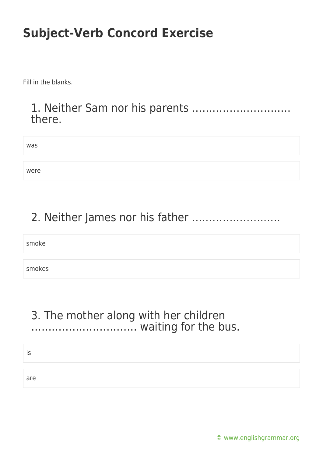Fill in the blanks.

#### 1. Neither Sam nor his parents ……………………….. there.

| was  |  |
|------|--|
|      |  |
| were |  |

## 2. Neither James nor his father ……………………..

smoke

smokes

### 3. The mother along with her children …………………………. waiting for the bus.

is

are

[© www.englishgrammar.org](https://www.englishgrammar.org/)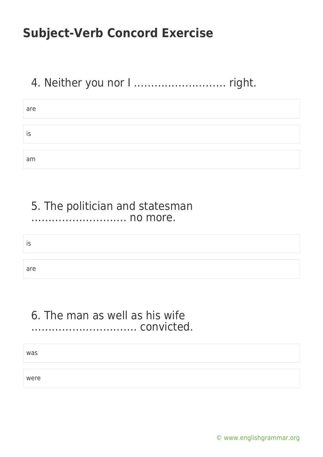## 4. Neither you nor I ……………………… right.

| are |  |
|-----|--|
|     |  |
| IS  |  |
|     |  |
| am  |  |

#### 5. The politician and statesman ………………………. no more.

is

are

#### 6. The man as well as his wife …………………………. convicted.

was

were

[© www.englishgrammar.org](https://www.englishgrammar.org/)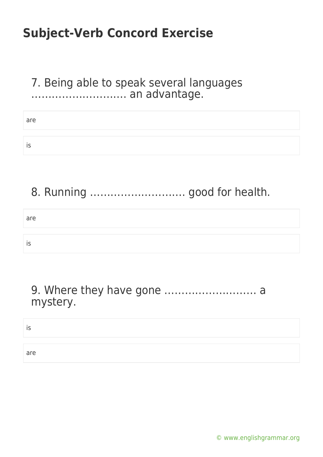### 7. Being able to speak several languages ………………………. an advantage.

| are |  |  |
|-----|--|--|
| IS  |  |  |

## 8. Running ………………………. good for health.

| are |  |
|-----|--|
|     |  |
| 10  |  |

### 9. Where they have gone ……………………… a mystery.

is

are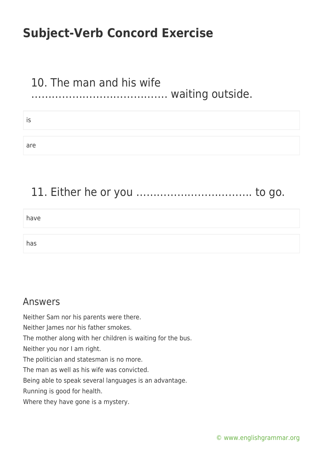# 10. The man and his wife

## …………………………………. waiting outside.

| . . |  |
|-----|--|
|     |  |
| are |  |

## 11. Either he or you ……………………………. to go.

have

has

#### Answers

Neither Sam nor his parents were there.

Neither James nor his father smokes.

The mother along with her children is waiting for the bus.

Neither you nor I am right.

The politician and statesman is no more.

The man as well as his wife was convicted.

Being able to speak several languages is an advantage.

Running is good for health.

Where they have gone is a mystery.